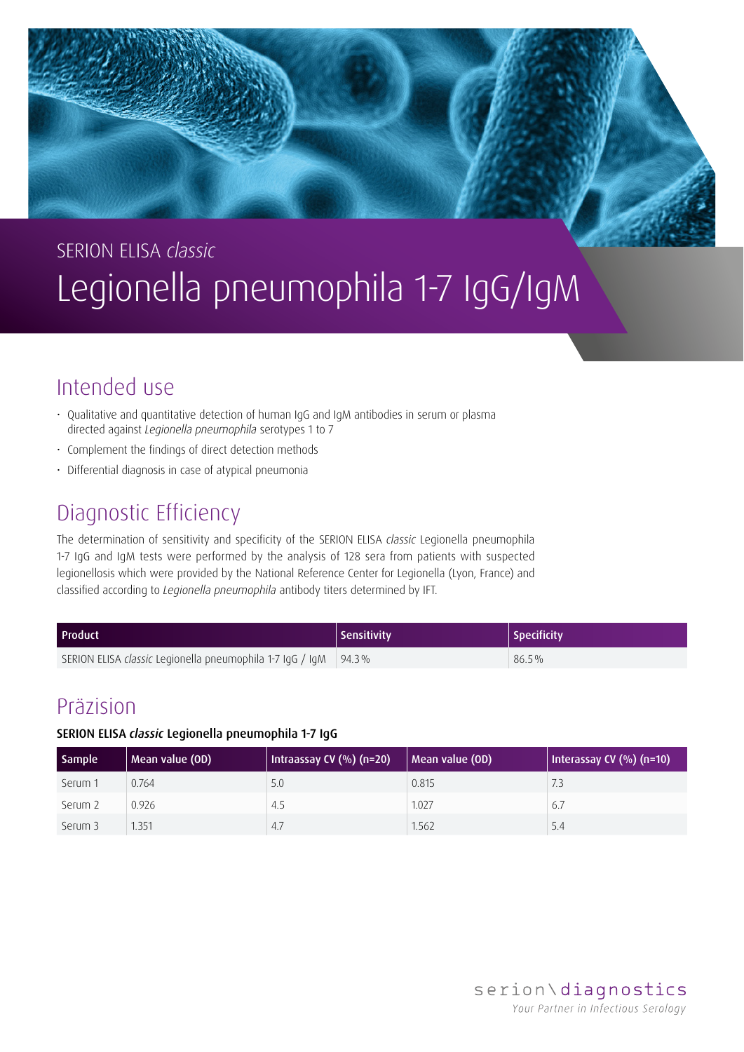# SERION ELISA *classic* Legionella pneumophila 1-7 IgG/IgM

## Intended use

- Qualitative and quantitative detection of human IgG and IgM antibodies in serum or plasma directed against *Legionella pneumophila* serotypes 1 to 7
- Complement the findings of direct detection methods
- Differential diagnosis in case of atypical pneumonia

### Diagnostic Efficiency

The determination of sensitivity and specificity of the SERION ELISA *classic* Legionella pneumophila 1-7 IgG and IgM tests were performed by the analysis of 128 sera from patients with suspected legionellosis which were provided by the National Reference Center for Legionella (Lyon, France) and classified according to *Legionella pneumophila* antibody titers determined by IFT.

| <b>Product</b>                                                         | Sensitivity | Specificity |
|------------------------------------------------------------------------|-------------|-------------|
| SERION ELISA <i>classic</i> Legionella pneumophila 1-7 IgG / IgM 94.3% |             | $86.5\%$    |

### Präzision

#### SERION ELISA *classic* Legionella pneumophila 1-7 IgG

| Sample  | Mean value (OD) | Intraassay CV (%) (n=20) | Mean value (OD) | Interassay CV $(\%)$ (n=10) |
|---------|-----------------|--------------------------|-----------------|-----------------------------|
| Serum 1 | 0.764           | 5.0                      | 0.815           | 7.3                         |
| Serum 2 | 0.926           | 4.5                      | 1.027           | 6.7                         |
| Serum 3 | 1.351           | 4.7                      | 1.562           | 5.4                         |